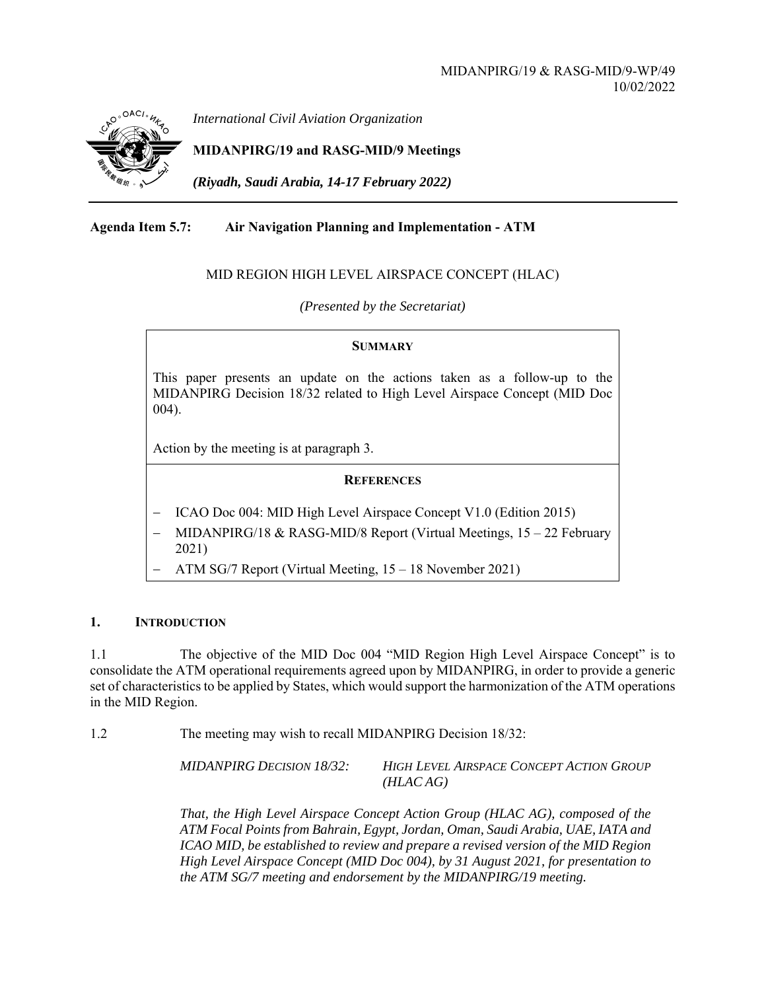

*International Civil Aviation Organization*

**MIDANPIRG/19 and RASG-MID/9 Meetings** 

*(Riyadh, Saudi Arabia, 14-17 February 2022)* 

# **Agenda Item 5.7: Air Navigation Planning and Implementation - ATM**

## MID REGION HIGH LEVEL AIRSPACE CONCEPT (HLAC)

*(Presented by the Secretariat)* 

#### **SUMMARY**

This paper presents an update on the actions taken as a follow-up to the MIDANPIRG Decision 18/32 related to High Level Airspace Concept (MID Doc 004).

Action by the meeting is at paragraph 3.

#### **REFERENCES**

- ICAO Doc 004: MID High Level Airspace Concept V1.0 (Edition 2015)
- MIDANPIRG/18 & RASG-MID/8 Report (Virtual Meetings, 15 22 February 2021)
- ATM SG/7 Report (Virtual Meeting, 15 18 November 2021)

## **1. INTRODUCTION**

1.1 The objective of the MID Doc 004 "MID Region High Level Airspace Concept" is to consolidate the ATM operational requirements agreed upon by MIDANPIRG, in order to provide a generic set of characteristics to be applied by States, which would support the harmonization of the ATM operations in the MID Region.

1.2 The meeting may wish to recall MIDANPIRG Decision 18/32:

*MIDANPIRG DECISION 18/32: HIGH LEVEL AIRSPACE CONCEPT ACTION GROUP (HLAC AG)*

*That, the High Level Airspace Concept Action Group (HLAC AG), composed of the ATM Focal Points from Bahrain, Egypt, Jordan, Oman, Saudi Arabia, UAE, IATA and ICAO MID, be established to review and prepare a revised version of the MID Region High Level Airspace Concept (MID Doc 004), by 31 August 2021, for presentation to the ATM SG/7 meeting and endorsement by the MIDANPIRG/19 meeting.*